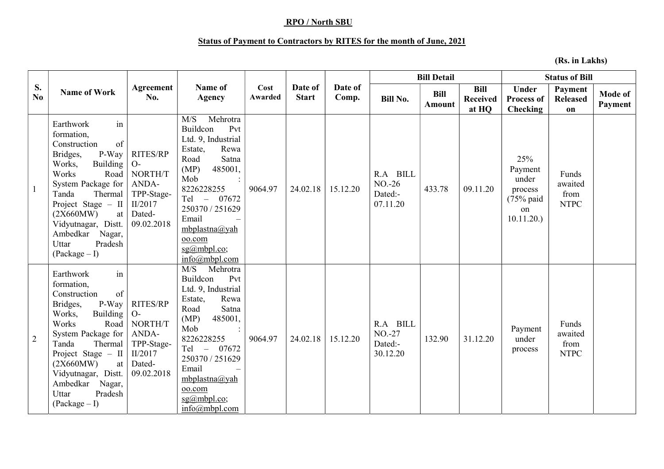## RPO / North SBU

## Status of Payment to Contractors by RITES for the month of June, 2021

(Rs. in Lakhs)

|                | <b>Name of Work</b>                                                                                                                                                                                                                                                                      | Agreement<br>No.                                                                             | Name of<br><b>Agency</b>                                                                                                                                                                                                                                       | Cost<br>Awarded | Date of<br><b>Start</b> | Date of<br>Comp. | <b>Bill Detail</b>                           |                              |                                  | <b>Status of Bill</b>                                                          |                                         |                           |
|----------------|------------------------------------------------------------------------------------------------------------------------------------------------------------------------------------------------------------------------------------------------------------------------------------------|----------------------------------------------------------------------------------------------|----------------------------------------------------------------------------------------------------------------------------------------------------------------------------------------------------------------------------------------------------------------|-----------------|-------------------------|------------------|----------------------------------------------|------------------------------|----------------------------------|--------------------------------------------------------------------------------|-----------------------------------------|---------------------------|
| S.<br>No.      |                                                                                                                                                                                                                                                                                          |                                                                                              |                                                                                                                                                                                                                                                                |                 |                         |                  | <b>Bill No.</b>                              | <b>Bill</b><br><b>Amount</b> | <b>Bill</b><br>Received<br>at HQ | <b>Under</b><br><b>Process of</b><br>Checking                                  | Payment<br><b>Released</b><br>on        | <b>Mode of</b><br>Payment |
|                | Earthwork<br>in<br>formation,<br>of<br>Construction<br>P-Way<br>Bridges,<br>Works,<br>Building<br>Works<br>Road<br>System Package for<br>Thermal<br>Tanda<br>Project Stage $-$ II<br>(2X660MW)<br>at<br>Vidyutnagar, Distt.<br>Ambedkar<br>Nagar,<br>Pradesh<br>Uttar<br>$(Package-I)$   | <b>RITES/RP</b><br>$O-$<br>NORTH/T<br>ANDA-<br>TPP-Stage-<br>II/2017<br>Dated-<br>09.02.2018 | Mehrotra<br>M/S<br>Buildcon<br>Pvt<br>Ltd. 9, Industrial<br>Estate,<br>Rewa<br>Road<br>Satna<br>(MP)<br>485001,<br>Mob<br>8226228255<br>Tel - 07672<br>250370 / 251629<br>Email<br>$mbplastna(a)$ yah<br>oo.com<br>$sg(a)$ mbpl.co;<br>info(a)mbpl.com         | 9064.97         | 24.02.18                | 15.12.20         | R.A BILL<br>$NO. -26$<br>Dated:-<br>07.11.20 | 433.78                       | 09.11.20                         | 25%<br>Payment<br>under<br>process<br>$(75\% \text{ paid})$<br>on<br>10.11.20. | Funds<br>awaited<br>from<br><b>NTPC</b> |                           |
| $\overline{2}$ | Earthwork<br>in<br>formation,<br>of<br>Construction<br>P-Way<br>Bridges,<br>Works,<br>Building<br>Works<br>Road<br>System Package for<br>Thermal<br>Tanda<br>Project Stage $-$ II<br>(2X660MW)<br>at<br>Vidyutnagar, Distt.<br>Ambedkar<br>Nagar,<br>Pradesh<br>Uttar<br>$(Package - I)$ | RITES/RP<br>$O-$<br>NORTH/T<br>ANDA-<br>TPP-Stage-<br>II/2017<br>Dated-<br>09.02.2018        | M/S<br>Mehrotra<br>Buildcon<br>Pvt<br>Ltd. 9, Industrial<br>Rewa<br>Estate,<br>Road<br>Satna<br>(MP)<br>485001,<br>Mob<br>8226228255<br>07672<br>$Tel -$<br>250370 / 251629<br>Email<br>mbplastna@yah<br>oo.com<br>$sg(a)$ mbpl.co;<br>$info(\omega)$ mbpl.com | 9064.97         | 24.02.18                | 15.12.20         | R.A BILL<br>$NO. -27$<br>Dated:-<br>30.12.20 | 132.90                       | 31.12.20                         | Payment<br>under<br>process                                                    | Funds<br>awaited<br>from<br><b>NTPC</b> |                           |